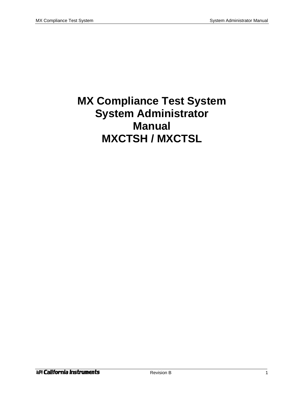# **MX Compliance Test System System Administrator Manual MXCTSH / MXCTSL**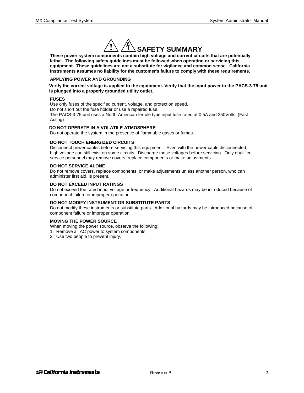

**These power system components contain high voltage and current circuits that are potentially lethal. The following safety guidelines must be followed when operating or servicing this equipment. These guidelines are not a substitute for vigilance and common sense. California Instruments assumes no liability for the customer's failure to comply with these requirements.** 

#### **APPLYING POWER AND GROUNDING**

**Verify the correct voltage is applied to the equipment. Verify that the input power to the PACS-3-75 unit is plugged into a properly grounded utility outlet.** 

#### **FUSES**

Use only fuses of the specified current, voltage, and protection speed.

Do not short out the fuse holder or use a repaired fuse.

The PACS-3-75 unit uses a North-American ferrule type input fuse rated at 0.5A and 250Volts. (Fast Acting)

#### **DO NOT OPERATE IN A VOLATILE ATMOSPHERE**

Do not operate the system in the presence of flammable gases or fumes.

#### **DO NOT TOUCH ENERGIZED CIRCUITS**

Disconnect power cables before servicing this equipment. Even with the power cable disconnected, high voltage can still exist on some circuits. Discharge these voltages before servicing. Only qualified service personnel may remove covers, replace components or make adjustments.

#### **DO NOT SERVICE ALONE**

Do not remove covers, replace components, or make adjustments unless another person, who can administer first aid, is present.

#### **DO NOT EXCEED INPUT RATINGS**

Do not exceed the rated input voltage or frequency. Additional hazards may be introduced because of component failure or improper operation.

#### **DO NOT MODIFY INSTRUMENT OR SUBSTITUTE PARTS**

Do not modify these instruments or substitute parts. Additional hazards may be introduced because of component failure or improper operation.

#### **MOVING THE POWER SOURCE**

When moving the power source, observe the following:

- 1. Remove all AC power to system components.
- 2. Use two people to prevent injury.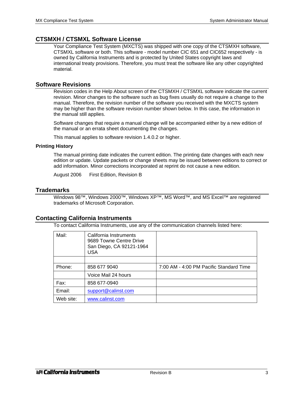### **CTSMXH / CTSMXL Software License**

Your Compliance Test System (MXCTS) was shipped with one copy of the CTSMXH software, CTSMXL software or both. This software - model number CIC 651 and CIC652 respectively - is owned by California Instruments and is protected by United States copyright laws and international treaty provisions. Therefore, you must treat the software like any other copyrighted material.

#### **Software Revisions**

Revision codes in the Help About screen of the CTSMXH / CTSMXL software indicate the current revision. Minor changes to the software such as bug fixes usually do not require a change to the manual. Therefore, the revision number of the software you received with the MXCTS system may be higher than the software revision number shown below. In this case, the information in the manual still applies.

Software changes that require a manual change will be accompanied either by a new edition of the manual or an errata sheet documenting the changes.

This manual applies to software revision 1.4.0.2 or higher.

#### **Printing History**

The manual printing date indicates the current edition. The printing date changes with each new edition or update. Update packets or change sheets may be issued between editions to correct or add information. Minor corrections incorporated at reprint do not cause a new edition.

August 2006 First Edition, Revision B

#### **Trademarks**

Windows 98™, Windows 2000™, Windows XP™, MS Word™, and MS Excel™ are registered trademarks of Microsoft Corporation.

#### **Contacting California Instruments**

To contact California Instruments, use any of the communication channels listed here:

| Mail:     | California Instruments<br>9689 Towne Centre Drive<br>San Diego, CA 92121-1964<br>USA |                                         |
|-----------|--------------------------------------------------------------------------------------|-----------------------------------------|
|           |                                                                                      |                                         |
| Phone:    | 858 677 9040                                                                         | 7:00 AM - 4:00 PM Pacific Standard Time |
|           | Voice Mail 24 hours                                                                  |                                         |
| Fax:      | 858 677-0940                                                                         |                                         |
| Email:    | support@calinst.com                                                                  |                                         |
| Web site: | www.calinst.com                                                                      |                                         |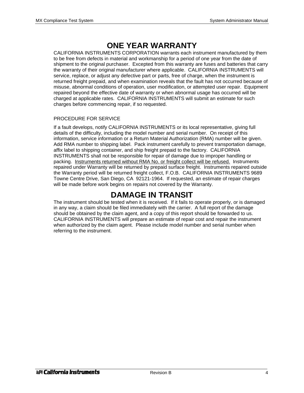## **ONE YEAR WARRANTY**

CALIFORNIA INSTRUMENTS CORPORATION warrants each instrument manufactured by them to be free from defects in material and workmanship for a period of one year from the date of shipment to the original purchaser. Excepted from this warranty are fuses and batteries that carry the warranty of their original manufacturer where applicable. CALIFORNIA INSTRUMENTS will service, replace, or adjust any defective part or parts, free of charge, when the instrument is returned freight prepaid, and when examination reveals that the fault has not occurred because of misuse, abnormal conditions of operation, user modification, or attempted user repair. Equipment repaired beyond the effective date of warranty or when abnormal usage has occurred will be charged at applicable rates. CALIFORNIA INSTRUMENTS will submit an estimate for such charges before commencing repair, if so requested.

#### PROCEDURE FOR SERVICE

If a fault develops, notify CALIFORNIA INSTRUMENTS or its local representative, giving full details of the difficulty, including the model number and serial number. On receipt of this information, service information or a Return Material Authorization (RMA) number will be given. Add RMA number to shipping label. Pack instrument carefully to prevent transportation damage, affix label to shipping container, and ship freight prepaid to the factory. CALIFORNIA INSTRUMENTS shall not be responsible for repair of damage due to improper handling or packing. Instruments returned without RMA No. or freight collect will be refused. Instruments repaired under Warranty will be returned by prepaid surface freight. Instruments repaired outside the Warranty period will be returned freight collect, F.O.B. CALIFORNIA INSTRUMENTS 9689 Towne Centre Drive, San Diego, CA 92121-1964. If requested, an estimate of repair charges will be made before work begins on repairs not covered by the Warranty.

## **DAMAGE IN TRANSIT**

The instrument should be tested when it is received. If it fails to operate properly, or is damaged in any way, a claim should be filed immediately with the carrier. A full report of the damage should be obtained by the claim agent, and a copy of this report should be forwarded to us. CALIFORNIA INSTRUMENTS will prepare an estimate of repair cost and repair the instrument when authorized by the claim agent. Please include model number and serial number when referring to the instrument.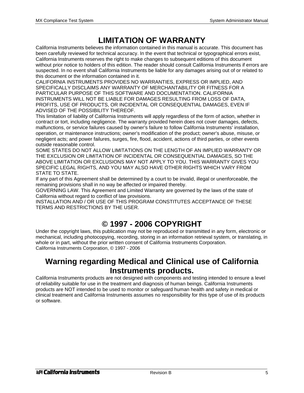## **LIMITATION OF WARRANTY**

California Instruments believes the information contained in this manual is accurate. This document has been carefully reviewed for technical accuracy. In the event that technical or typographical errors exist, California Instruments reserves the right to make changes to subsequent editions of this document without prior notice to holders of this edition. The reader should consult California Instruments if errors are suspected. In no event shall California Instruments be liable for any damages arising out of or related to this document or the information contained in it.

CALIFORNIA INSTRUMENTS PROVIDES NO WARRANTIES, EXPRESS OR IMPLIED, AND SPECIFICALLY DISCLAIMS ANY WARRANTY OF MERCHANTABILITY OR FITNESS FOR A PARTICULAR PURPOSE OF THIS SOFTWARE AND DOCUMENTATION. CALIFORNIA INSTRUMENTS WILL NOT BE LIABLE FOR DAMAGES RESULTING FROM LOSS OF DATA, PROFITS, USE OF PRODUCTS, OR INCIDENTAL OR CONSEQUENTIAL DAMAGES, EVEN IF ADVISED OF THE POSSIBILITY THEREOF.

This limitation of liability of California Instruments will apply regardless of the form of action, whether in contract or tort, including negligence. The warranty provided herein does not cover damages, defects, malfunctions, or service failures caused by owner's failure to follow California Instruments' installation, operation, or maintenance instructions; owner's modification of the product; owner's abuse, misuse, or negligent acts; and power failures, surges, fire, flood, accident, actions of third parties, or other events outside reasonable control.

SOME STATES DO NOT ALLOW LIMITATIONS ON THE LENGTH OF AN IMPLIED WARRANTY OR THE EXCLUSION OR LIMITATION OF INCIDENTAL OR CONSEQUENTIAL DAMAGES, SO THE ABOVE LIMITATION OR EXCLUSIONS MAY NOT APPLY TO YOU. THIS WARRANTY GIVES YOU SPECIFIC LEGAL RIGHTS, AND YOU MAY ALSO HAVE OTHER RIGHTS WHICH VARY FROM STATE TO STATE.

If any part of this Agreement shall be determined by a court to be invalid, illegal or unenforceable, the remaining provisions shall in no way be affected or impaired thereby.

GOVERNING LAW. This Agreement and Limited Warranty are governed by the laws of the state of California without regard to conflict of law provisions.

INSTALLATION AND / OR USE OF THIS PROGRAM CONSTITUTES ACCEPTANCE OF THESE TERMS AND RESTRICTIONS BY THE USER.

## **© 1997 - 2006 COPYRIGHT**

Under the copyright laws, this publication may not be reproduced or transmitted in any form, electronic or mechanical, including photocopying, recording, storing in an information retrieval system, or translating, in whole or in part, without the prior written consent of California Instruments Corporation. California Instruments Corporation, © 1997 - 2006

## **Warning regarding Medical and Clinical use of California Instruments products.**

California Instruments products are not designed with components and testing intended to ensure a level of reliability suitable for use in the treatment and diagnosis of human beings. California Instruments products are NOT intended to be used to monitor or safeguard human health and safety in medical or clinical treatment and California Instruments assumes no responsibility for this type of use of its products or software.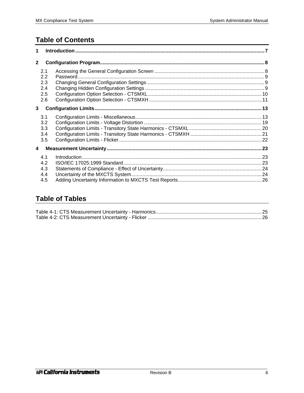## **Table of Contents**

| 1            |                                        |  |
|--------------|----------------------------------------|--|
| $\mathbf{2}$ |                                        |  |
|              | 2.1<br>2.2<br>2.3<br>2.4<br>2.5<br>2.6 |  |
| 3            |                                        |  |
|              | 3.1<br>3.2<br>3.3<br>3.4<br>3.5        |  |
| 4            |                                        |  |
|              | 4.1<br>4.2<br>4.3<br>4.4<br>4.5        |  |

## **Table of Tables**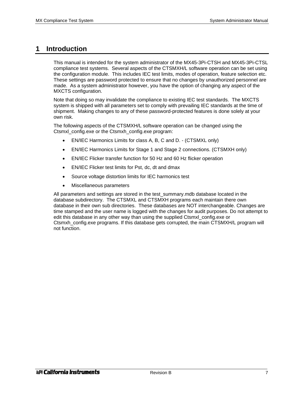### <span id="page-6-0"></span>**1 Introduction**

This manual is intended for the system administrator of the MX45-3Pi-CTSH and MX45-3Pi-CTSL compliance test systems. Several aspects of the CTSMXH/L software operation can be set using the configuration module. This includes IEC test limits, modes of operation, feature selection etc. These settings are password protected to ensure that no changes by unauthorized personnel are made. As a system administrator however, you have the option of changing any aspect of the MXCTS configuration.

Note that doing so may invalidate the compliance to existing IEC test standards. The MXCTS system is shipped with all parameters set to comply with prevailing IEC standards at the time of shipment. Making changes to any of these password-protected features is done solely at your own risk.

The following aspects of the CTSMXH/L software operation can be changed using the Ctsmxl\_config.exe or the Ctsmxh\_config.exe program:

- EN/IEC Harmonics Limits for class A, B, C and D. (CTSMXL only)
- EN/IEC Harmonics Limits for Stage 1 and Stage 2 connections. (CTSMXH only)
- EN/IEC Flicker transfer function for 50 Hz and 60 Hz flicker operation
- EN/IEC Flicker test limits for Pst, dc, dt and dmax
- Source voltage distortion limits for IEC harmonics test
- Miscellaneous parameters

All parameters and settings are stored in the test\_summary.mdb database located in the database subdirectory. The CTSMXL and CTSMXH programs each maintain there own database in their own sub directories. These databases are NOT interchangeable. Changes are time stamped and the user name is logged with the changes for audit purposes. Do not attempt to edit this database in any other way than using the supplied Ctsmxl\_config.exe or Ctsmxh\_config.exe programs. If this database gets corrupted, the main CTSMXH/L program will not function.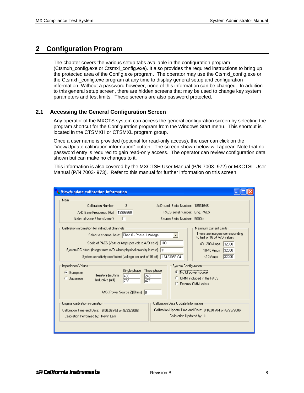### <span id="page-7-0"></span>**2 Configuration Program**

The chapter covers the various setup tabs available in the configuration program (Ctsmxh\_config.exe or Ctsmxl\_config.exe). It also provides the required instructions to bring up the protected area of the Config.exe program. The operator may use the Ctsmxl\_config.exe or the Ctsmxh\_config.exe program at any time to display general setup and configuration information. Without a password however, none of this information can be changed. In addition to this general setup screen, there are hidden screens that may be used to change key system parameters and test limits. These screens are also password protected.

#### **2.1 Accessing the General Configuration Screen**

Any operator of the MXCTS system can access the general configuration screen by selecting the program shortcut for the Configuration program from the Windows Start menu. This shortcut is located in the CTSMXH or CTSMXL program group.

Once a user name is provided (optional for read-only access), the user can click on the "View/Update calibration information" button. The screen shown below will appear. Note that no password entry is required to gain read-only access. The operator can review configuration data shown but can make no changes to it.

This information is also covered by the MXCTSH User Manual (P/N 7003- 972) or MXCTSL User Manual (P/N 7003- 973). Refer to this manual for further information on this screen.

| <b>E</b> View/update calibration information                                                                                                                                                                                                                                                                                                                                                                                                                                                                                                                                            |                                                                                                                                                                                                                |
|-----------------------------------------------------------------------------------------------------------------------------------------------------------------------------------------------------------------------------------------------------------------------------------------------------------------------------------------------------------------------------------------------------------------------------------------------------------------------------------------------------------------------------------------------------------------------------------------|----------------------------------------------------------------------------------------------------------------------------------------------------------------------------------------------------------------|
| Main<br><b>Calibration Number</b><br>3<br>A/D card Serial Number: 18531646<br>19999360<br>PACS serial number: Eng. PACS<br>A/D Base Frequency (Hz)<br>External current transformer?<br>Source Serial Number: 5000X                                                                                                                                                                                                                                                                                                                                                                      |                                                                                                                                                                                                                |
| Calibration information for individual channels<br>Select a channel here: Chan 0 - Phase 1 Voltage<br>Scale of PACS (Volts or Amps per volt to A/D card)  100<br>System DC offset (integer from A/D when physical quantity is zero) 31<br>System sensitivity coefficient (voltage per unit of 16 bit) 1.612305E-04<br>Impedance Values<br>System Configuration<br>Single phase<br>Three phase<br>No CI power source<br>Œ<br>Œ<br>European<br>Resistive [mDhms]<br>400<br>240<br><b>C</b> Japanese<br>Inductive (uH)<br>796<br>477<br>External OMNI exists<br>AMX Power Source Z(Ohms) 0 | <b>Maximum Current Limits</b><br>These are integers corresponding<br>to half of 16 bit A/D values<br>40 - 200 Amps<br>32000<br>32000<br>10-40 Amps<br>32000<br>$< 10$ Amps<br><b>OMNI</b> included in the PACS |
| Original calibration information<br>Calibration Data Update Information<br>Calibration Time and Date: 9:56:08 AM on 8/23/2006<br>Calibration Updated by: k<br>Calibration Performed by: Kevin Lam                                                                                                                                                                                                                                                                                                                                                                                       | Calibration Update Time and Date: 8:16:01 AM on 8/23/2006                                                                                                                                                      |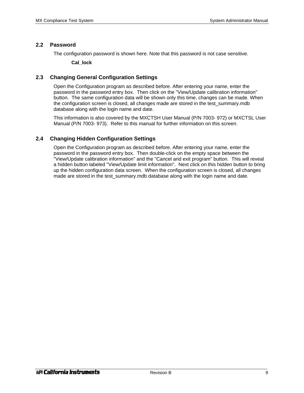#### <span id="page-8-0"></span>**2.2 Password**

The configuration password is shown here. Note that this password is not case sensitive.

**Cal\_lock** 

#### **2.3 Changing General Configuration Settings**

Open the Configuration program as described before. After entering your name, enter the password in the password entry box. Then click on the "View/Update calibration information" button. The same configuration data will be shown only this time, changes can be made. When the configuration screen is closed, all changes made are stored in the test\_summary.mdb database along with the login name and date.

This information is also covered by the MXCTSH User Manual (P/N 7003- 972) or MXCTSL User Manual (P/N 7003- 973). Refer to this manual for further information on this screen.

#### **2.4 Changing Hidden Configuration Settings**

Open the Configuration program as described before. After entering your name, enter the password in the password entry box. Then double-click on the empty space between the "View/Update calibration information" and the "Cancel and exit program" button. This will reveal a hidden button labeled "View/Update limit information". Next click on this hidden button to bring up the hidden configuration data screen. When the configuration screen is closed, all changes made are stored in the test\_summary.mdb database along with the login name and date.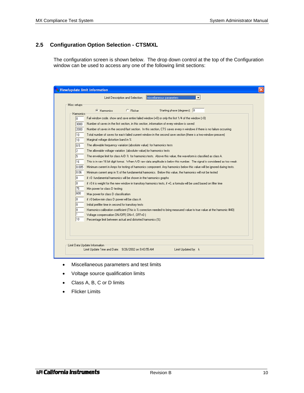### <span id="page-9-0"></span>**2.5 Configuration Option Selection - CTSMXL**

The configuration screen is shown below. The drop down control at the top of the Configuration window can be used to access any one of the following limit sections:

| Misc setups      |                                                                                                                            |
|------------------|----------------------------------------------------------------------------------------------------------------------------|
|                  | Starting phase (degrees): 0<br><b>E</b> Harmonics<br>C Flicker                                                             |
| Harmonics<br>lo. | Fail window code, show and save entire failed window (=0) or only the first 1/4 of the window (>0)                         |
| 3000             | Number of saves in the first section, in this section, information of every window is saved                                |
| 2000             | Number of saves in the second/last section. In this section, CTS saves every niwindows if there is no failure occurring    |
| 10               | Total number of saves for each failed current window in the second save section (there is a two-window presave)            |
| 10               | Marginal voltage distortion band in %                                                                                      |
| 0.5              | The allowable frequency variation (absolute value) for harmonics tests                                                     |
| l2               | The allowable voltage variation (absolute value) for harmonics tests                                                       |
| 5                | The envelope limit for class A/D % for harmonics tests. Above this value, the waveform is classified as class A.           |
| 16               | This is in raw 16 bit digit format. When A/D raw data amplitude is below this number. The signal is considered as too weak |
| 0.005            | Minimum current in Amps for testing of harmonics component. Any harmonics below this value will be ignored during tests.   |
| 0.06             | Minimum current amp in % of the fundamental harmonics. Below this value, the harmonics will not be tested                  |
| lo.              | if >0 fundamental harmonics will be shown in the harmonics graphs                                                          |
| lo.              | if >0 it is weight for the new window in transitory harmonics tests, if =0, a formula will be used based on filter time    |
| 75               | Min power for class D testing                                                                                              |
| 600              | Max power for class D classification                                                                                       |
| ln.              | if >0 below min class D power will be class A                                                                              |
| I٥               | Initial prefilter time in second for transitory tests                                                                      |
| ln.              | Harmonics calibration coefficient (This is % correction needed to bring measured value to true value at the harmonic #40)  |
| 11               | Voltage compensation ON/OFF(ON=1, OFF=0)                                                                                   |
| 110              | Percentage limit between actual and distorted harmonics [%]                                                                |
|                  |                                                                                                                            |
|                  |                                                                                                                            |
|                  |                                                                                                                            |

- Miscellaneous parameters and test limits
- Voltage source qualification limits
- Class A, B, C or D limits
- Flicker Limits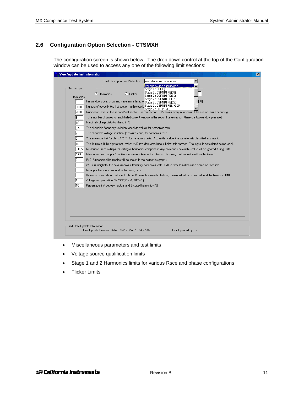### <span id="page-10-0"></span>**2.6 Configuration Option Selection - CTSMXH**

The configuration screen is shown below. The drop down control at the top of the Configuration window can be used to access any one of the following limit sections:

| Misc setups                                                                                                                    | Stage 1 : SC(33)<br>Stage 2: CSPNBTPE(33)<br>G Harmonics<br>$C$ Flicker<br>Stage 2: CSPNBTPE(66)                                                                                                                                                                                                                                                                                                                                                                                                                                                                                                                                                                                                                                                                                                                                                                                                                                                                                                                                                                                                                                                                                                                                                                                                                                                                                                                                                                                                                                                                                                |
|--------------------------------------------------------------------------------------------------------------------------------|-------------------------------------------------------------------------------------------------------------------------------------------------------------------------------------------------------------------------------------------------------------------------------------------------------------------------------------------------------------------------------------------------------------------------------------------------------------------------------------------------------------------------------------------------------------------------------------------------------------------------------------------------------------------------------------------------------------------------------------------------------------------------------------------------------------------------------------------------------------------------------------------------------------------------------------------------------------------------------------------------------------------------------------------------------------------------------------------------------------------------------------------------------------------------------------------------------------------------------------------------------------------------------------------------------------------------------------------------------------------------------------------------------------------------------------------------------------------------------------------------------------------------------------------------------------------------------------------------|
| Harmonics<br>lo.<br>3000<br>12000<br>18.<br>l10.<br>lo.5<br>l2.<br>5<br>116<br>10,005<br>10.06<br>Io.<br>lo.<br>I٥<br>Iо<br>11 | Stage 2: CSPNBTPE(120)<br>Fail window code, show and save entire failed w<br>I>Ol<br>Stage 2: CSPNBTPE(250)<br>Stage 2: CSPNBTPE(>=350)<br>Number of saves in the first section, in this sectid<br>Stage 2 : CBTPE(33)<br>Number of saves in the second/last section. In this section, CTS saves every n windows if there is no failure occurring<br>Total number of saves for each failed current window in the second save section (there is a two-window presave)<br>Marginal voltage distortion band in %<br>The allowable frequency variation (absolute value) for harmonics tests<br>The allowable voltage variation (absolute value) for harmonics tests<br>The envelope limit for class A/D % for harmonics tests. Above this value, the waveform is classified as class A.<br>This is in raw 16 bit digit format. When A/D raw data amplitude is below this number. The signal is considered as too weak<br>Minimum current in Amps for testing of harmonics component. Any harmonics below this value will be ignored during tests.<br>Minimum current amp in % of the fundamental harmonics. Below this value, the harmonics will not be tested<br>$if > 0$ fundamental harmonics will be shown in the harmonics graphs<br>if >0 it is weight for the new window in transitory harmonics tests, if =0, a formula will be used based on filter time<br>Initial prefilter time in second for transitory tests<br>Harmonics calibration coefficient (This is % correction needed to bring measured value to true value at the harmonic #40)<br>Voltage compensation ON/OFF(ON=1, OFF=0) |
| l10.                                                                                                                           | Percentage limit between actual and distorted harmonics [%]<br>Limit Data Update Information:                                                                                                                                                                                                                                                                                                                                                                                                                                                                                                                                                                                                                                                                                                                                                                                                                                                                                                                                                                                                                                                                                                                                                                                                                                                                                                                                                                                                                                                                                                   |

- Miscellaneous parameters and test limits
- Voltage source qualification limits
- Stage 1 and 2 Harmonics limits for various Rsce and phase configurations
- Flicker Limits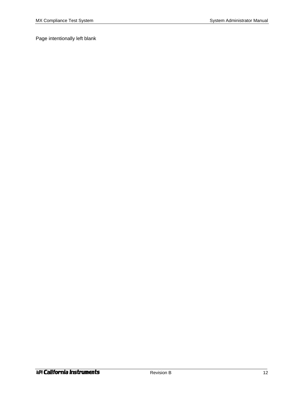Page intentionally left blank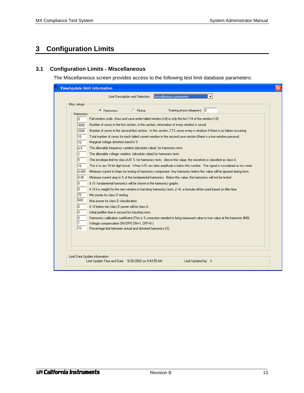## <span id="page-12-0"></span>**3 Configuration Limits**

### **3.1 Configuration Limits - Miscellaneous**

The Miscellaneous screen provides access to the following test limit database parameters:

|              | miscellaneous parameters<br>Limit Description and Selection:                                                               |
|--------------|----------------------------------------------------------------------------------------------------------------------------|
| Misc setups: |                                                                                                                            |
| Harmonics    | G Harmonics<br>Starting phase (degrees): 0<br>$C$ Flicker                                                                  |
| ln.          | Fail window code, show and save entire failed window (=0) or only the first 1/4 of the window (>0)                         |
| 3000         | Number of saves in the first section, in this section, information of every window is saved                                |
| 2000         | Number of saves in the second/last section. In this section, CTS saves every n windows if there is no failure occurring    |
| 110          | Total number of saves for each failed current window in the second save section (there is a two-window presave)            |
| 10           | Marginal voltage distortion band in %                                                                                      |
| l0.5         | The allowable frequency variation (absolute value) for harmonics tests                                                     |
| 12.          | The allowable voltage variation (absolute value) for harmonics tests                                                       |
| 5            | The envelope limit for class A/D % for harmonics tests. Above this value, the waveform is classified as class A.           |
| 116.         | This is in raw 16 bit digit format. When A/D raw data amplitude is below this number. The signal is considered as too weak |
| 0.005        | Minimum current in Amps for testing of harmonics component. Any harmonics below this value will be ignored during tests.   |
| 0.06         | Minimum current amp in % of the fundamental harmonics. Below this value, the harmonics will not be tested                  |
| lo.          | if >0 fundamental harmonics will be shown in the harmonics graphs                                                          |
| lo.          | if >0 it is weight for the new window in transitory harmonics tests, if =0, a formula will be used based on filter time    |
| 75           | Min power for class D testing                                                                                              |
| 600          | Max power for class D classification                                                                                       |
| lo.          | if >0 below min class D power will be class A                                                                              |
| lū.          | Initial prefilter time in second for transitory tests                                                                      |
| In.          | Harmonics calibration coefficient (This is % correction needed to bring measured value to true value at the harmonic #40)  |
| 11           | Voltage compensation ON/OFF(ON=1, OFF=0)                                                                                   |
| 10           | Percentage limit between actual and distorted harmonics [%]                                                                |
|              |                                                                                                                            |
|              |                                                                                                                            |
|              |                                                                                                                            |
|              | Limit Data Update Information                                                                                              |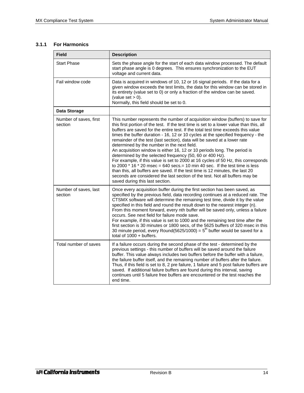### **3.1.1 For Harmonics**

<span id="page-13-0"></span>

| <b>Field</b>                      | <b>Description</b>                                                                                                                                                                                                                                                                                                                                                                                                                                                                                                                                                                                                                                                                                                                                                                                                                                                                                                                                                                              |
|-----------------------------------|-------------------------------------------------------------------------------------------------------------------------------------------------------------------------------------------------------------------------------------------------------------------------------------------------------------------------------------------------------------------------------------------------------------------------------------------------------------------------------------------------------------------------------------------------------------------------------------------------------------------------------------------------------------------------------------------------------------------------------------------------------------------------------------------------------------------------------------------------------------------------------------------------------------------------------------------------------------------------------------------------|
| <b>Start Phase</b>                | Sets the phase angle for the start of each data window processed. The default<br>start phase angle is 0 degrees. This ensures synchronization to the EUT<br>voltage and current data.                                                                                                                                                                                                                                                                                                                                                                                                                                                                                                                                                                                                                                                                                                                                                                                                           |
| Fail window code                  | Data is acquired in windows of 10, 12 or 16 signal periods. If the data for a<br>given window exceeds the test limits, the data for this window can be stored in<br>its entirety (value set to 0) or only a fraction of the window can be saved.<br>(value set $> 0$ ).<br>Normally, this field should be set to 0.                                                                                                                                                                                                                                                                                                                                                                                                                                                                                                                                                                                                                                                                             |
| Data Storage                      |                                                                                                                                                                                                                                                                                                                                                                                                                                                                                                                                                                                                                                                                                                                                                                                                                                                                                                                                                                                                 |
| Number of saves, first<br>section | This number represents the number of acquisition window (buffers) to save for<br>this first portion of the test. If the test time is set to a lower value than this, all<br>buffers are saved for the entire test. If the total test time exceeds this value<br>times the buffer duration - 16, 12 or 10 cycles at the specified frequency - the<br>remainder of the test (last section), data will be saved at a lower rate<br>determined by the number in the next field.<br>An acquisition window is either 16, 12 or 10 periods long. The period is<br>determined by the selected frequency (50, 60 or 400 Hz).<br>For example, if this value is set to 2000 at 16 cycles of 50 Hz, this corresponds<br>to 2000 $*$ 16 $*$ 20 msec = 640 secs. = 10 min 40 sec. If the test time is less<br>than this, all buffers are saved. If the test time is 12 minutes, the last 20<br>seconds are considered the last section of the test. Not all buffers may be<br>saved during this last section. |
| Number of saves, last<br>section  | Once every acquisition buffer during the first section has been saved, as<br>specified by the previous field, data recording continues at a reduced rate. The<br>CTSMX software will determine the remaining test time, divide it by the value<br>specified in this field and round the result down to the nearest integer (n).<br>From this moment forward, every nth buffer will be saved only, unless a failure<br>occurs. See next field for failure mode save.<br>For example, if this value is set to 1000 and the remaining test time after the<br>first section is 30 minutes or 1800 secs, of the 5625 buffers of 320 msec in this<br>30 minute period, every Round(5625/1000) = $5th$ buffer would be saved for a<br>total of $1000 + \text{buffers}$ .                                                                                                                                                                                                                               |
| Total number of saves             | If a failure occurs during the second phase of the test - determined by the<br>previous settings - this number of buffers will be saved around the failure<br>buffer. This value always includes two buffers before the buffer with a failure,<br>the failure buffer itself, and the remaining number of buffers after the failure.<br>Thus, if this field is set to 8, 2 pre failure, 1 failure and 5 post failure buffers are<br>saved. If additional failure buffers are found during this interval, saving<br>continues until 5 failure free buffers are encountered or the test reaches the<br>end time.                                                                                                                                                                                                                                                                                                                                                                                   |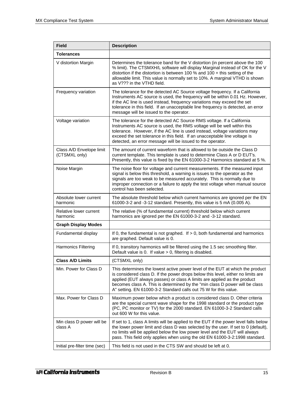| <b>Field</b>                              | <b>Description</b>                                                                                                                                                                                                                                                                                                                                                                               |
|-------------------------------------------|--------------------------------------------------------------------------------------------------------------------------------------------------------------------------------------------------------------------------------------------------------------------------------------------------------------------------------------------------------------------------------------------------|
| <b>Tolerances</b>                         |                                                                                                                                                                                                                                                                                                                                                                                                  |
| V distortion Margin                       | Determines the tolerance band for the V distortion (in percent above the 100<br>% limit). The CTSMXH/L software will display Marginal instead of OK for the V<br>distortion if the distortion is between 100 % and 100 + this setting of the<br>allowable limit. This value is normally set to 10%. A marginal VTHD is shown<br>as V??? in the VTHD field.                                       |
| Frequency variation                       | The tolerance for the detected AC Source voltage frequency. If a California<br>Instruments AC source is used, the frequency will be within 0.01 Hz. However,<br>if the AC line is used instead, frequency variations may exceed the set<br>tolerance in this field. If an unacceptable line frequency is detected, an error<br>message will be issued to the operator.                           |
| Voltage variation                         | The tolerance for the detected AC Source RMS voltage. If a California<br>Instruments AC source is used, the RMS voltage will be well within this<br>tolerance. However, if the AC line is used instead, voltage variations may<br>exceed the set tolerance in this field. If an unacceptable line voltage is<br>detected, an error message will be issued to the operator.                       |
| Class A/D Envelope limit<br>(CTSMXL only) | The amount of current waveform that is allowed to be outside the Class D<br>current template. This template is used to determine Class A or D EUT's.<br>Presently, this value is fixed by the EN 61000-3-2 Harmonics standard at 5 %.                                                                                                                                                            |
| Noise Margin                              | The noise floor for voltage and current measurements. If the measured input<br>signal is below this threshold, a warning is issues to the operator as the<br>signals are too weak to be measured accurately. This is normally due to<br>improper connection or a failure to apply the test voltage when manual source<br>control has been selected.                                              |
| Absolute lower current<br>harmonic        | The absolute threshold below which current harmonics are ignored per the EN<br>61000-3-2 and -3-12 standard. Presently, this value is 5 mA (0.005 A).                                                                                                                                                                                                                                            |
| Relative lower current<br>harmonic        | The relative (% of fundamental current) threshold below which current<br>harmonics are ignored per the EN 61000-3-2 and -3-12 standard.                                                                                                                                                                                                                                                          |
| <b>Graph Display Modes</b>                |                                                                                                                                                                                                                                                                                                                                                                                                  |
| Fundamental display                       | If 0, the fundamental is not graphed. If $> 0$ , both fundamental and harmonics<br>are graphed. Default value is 0.                                                                                                                                                                                                                                                                              |
| Harmonics Filtering                       | If 0, transitory harmonics will be filtered using the 1.5 sec smoothing filter.<br>Default value is 0. If value $> 0$ , filtering is disabled.                                                                                                                                                                                                                                                   |
| <b>Class A/D Limits</b>                   | (CTSMXL only)                                                                                                                                                                                                                                                                                                                                                                                    |
| Min. Power for Class D                    | This determines the lowest active power level of the EUT at which the product<br>is considered class D. If the power drops below this level, either no limits are<br>applied (EUT always passes) or class A limits are applied as the product<br>becomes class A. This is determined by the "min class D power will be class<br>A" setting. EN 61000-3-2 Standard calls out 75 W for this value. |
| Max. Power for Class D                    | Maximum power below which a product is considered class D. Other criteria<br>are the special current wave shape for the 1998 standard or the product type<br>(PC, PC monitor or TV) for the 2000 standard. EN 61000-3-2 Standard calls<br>out 600 W for this value.                                                                                                                              |
| Min class D power will be<br>class A      | If set to 1, class A limits will be applied to the EUT if the power level falls below<br>the lower power limit and class D was selected by the user. If set to 0 (default),<br>no limits will be applied below the low power level and the EUT will always<br>pass. This field only applies when using the old EN 61000-3-2:1998 standard.                                                       |
| Initial pre-filter time (sec)             | This field is not used in the CTS SW and should be left at 0.                                                                                                                                                                                                                                                                                                                                    |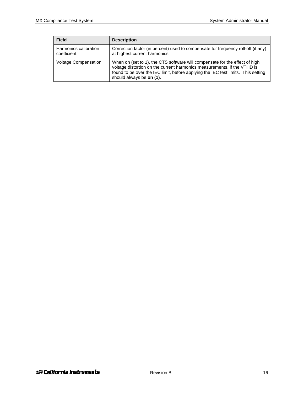| <b>Field</b>                          | <b>Description</b>                                                                                                                                                                                                                                                       |
|---------------------------------------|--------------------------------------------------------------------------------------------------------------------------------------------------------------------------------------------------------------------------------------------------------------------------|
| Harmonics calibration<br>coefficient. | Correction factor (in percent) used to compensate for frequency roll-off (if any)<br>at highest current harmonics.                                                                                                                                                       |
| <b>Voltage Compensation</b>           | When on (set to 1), the CTS software will compensate for the effect of high<br>voltage distortion on the current harmonics measurements, if the VTHD is<br>found to be over the IEC limit, before applying the IEC test limits. This setting<br>should always be on (1). |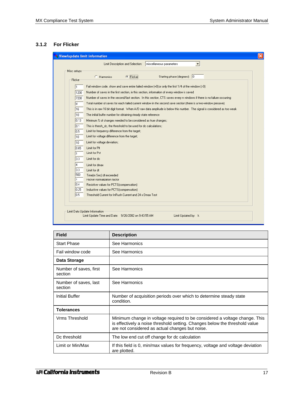#### **3.1.2 For Flicker**

|             | Limit Description and Selection:<br>miscellaneous parameters                                                               |  |
|-------------|----------------------------------------------------------------------------------------------------------------------------|--|
| Misc setups |                                                                                                                            |  |
| Flicker     | C Harmonics<br><b>Flicker</b><br>Starting phase (degrees): 0                                                               |  |
| l1          | Fail window code, show and save entire failed window (=0) or only the first 1/4 of the window (>0)                         |  |
| 1200        | Number of saves in the first section, in this section, information of every window is saved                                |  |
| 7200        | Number of saves in the second/last section. In this section, CTS saves every n windows if there is no failure occurring    |  |
| l8          | Total number of saves for each failed current window in the second save section (there is a two-window presave)            |  |
| 16          | This is in raw 16 bit digit format. When A/D raw data amplitude is below this number. The signal is considered as too weak |  |
| 10          | The initial buffer number for obtaining steady state reference                                                             |  |
| 0.13        | Minimum % of changes needed to be considered as true changes;                                                              |  |
| 0.1         | This is thresh dc, the threshold to be used for dc calculations;                                                           |  |
| 0.5         | Limit for frequency difference from the target;                                                                            |  |
| 10          | Limit for voltage difference from the target;                                                                              |  |
| 10          | Limit for voltage deviation;                                                                                               |  |
| 0.65        | Limit for Plt                                                                                                              |  |
| l1          | Limit for Pst                                                                                                              |  |
| 13.3        | Limit for do                                                                                                               |  |
| 4           | Limit for dmax                                                                                                             |  |
| 3.3         | Limit for dt                                                                                                               |  |
| 500         | Time(m Sec) dt exceeded                                                                                                    |  |
| I1.         | Flicker normalization factor                                                                                               |  |
| 0.4         | Resistive values for PCTS(compensation)                                                                                    |  |
| 0.25        | Inductive values for PCTS(compensation)                                                                                    |  |
| 0.5         | Threshold Current for InRush Current and 24 x Dmax Test                                                                    |  |
|             |                                                                                                                            |  |
|             | Limit Data Update Information                                                                                              |  |

| <b>Field</b>                      | <b>Description</b>                                                                                                                                                                                           |
|-----------------------------------|--------------------------------------------------------------------------------------------------------------------------------------------------------------------------------------------------------------|
| <b>Start Phase</b>                | See Harmonics                                                                                                                                                                                                |
| Fail window code                  | See Harmonics                                                                                                                                                                                                |
| Data Storage                      |                                                                                                                                                                                                              |
| Number of saves, first<br>section | See Harmonics                                                                                                                                                                                                |
| Number of saves, last<br>section  | See Harmonics                                                                                                                                                                                                |
| Initial Buffer                    | Number of acquisition periods over which to determine steady state<br>condition.                                                                                                                             |
| <b>Tolerances</b>                 |                                                                                                                                                                                                              |
| Vrms Threshold                    | Minimum change in voltage required to be considered a voltage change. This<br>is effectively a noise threshold setting. Changes below the threshold value<br>are not considered as actual changes but noise. |
| Dc threshold                      | The low end cut off change for dc calculation                                                                                                                                                                |
| Limit or Min/Max                  | If this field is 0, min/max values for frequency, voltage and voltage deviation<br>are plotted.                                                                                                              |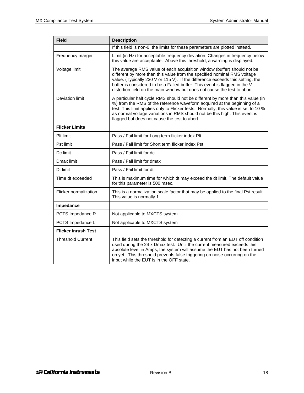| <b>Field</b>               | <b>Description</b>                                                                                                                                                                                                                                                                                                                                                                               |
|----------------------------|--------------------------------------------------------------------------------------------------------------------------------------------------------------------------------------------------------------------------------------------------------------------------------------------------------------------------------------------------------------------------------------------------|
|                            | If this field is non-0, the limits for these parameters are plotted instead.                                                                                                                                                                                                                                                                                                                     |
| Frequency margin           | Limit (in Hz) for acceptable frequency deviation. Changes in frequency below<br>this value are acceptable. Above this threshold, a warning is displayed.                                                                                                                                                                                                                                         |
| Voltage limit              | The average RMS value of each acquisition window (buffer) should not be<br>different by more than this value from the specified nominal RMS voltage<br>value. (Typically 230 V or 115 V). If the difference exceeds this setting, the<br>buffer is considered to be a Failed buffer. This event is flagged in the V<br>distortion field on the main window but does not cause the test to abort. |
| <b>Deviation limit</b>     | A particular half cycle RMS should not be different by more than this value (in<br>%) from the RMS of the reference waveform acquired at the beginning of a<br>test. This limit applies only to Flicker tests. Normally, this value is set to 10 %<br>as normal voltage variations in RMS should not be this high. This event is<br>flagged but does not cause the test to abort.                |
| <b>Flicker Limits</b>      |                                                                                                                                                                                                                                                                                                                                                                                                  |
| Plt limit                  | Pass / Fail limit for Long term flicker index Plt                                                                                                                                                                                                                                                                                                                                                |
| Pst limit                  | Pass / Fail limit for Short term flicker index Pst                                                                                                                                                                                                                                                                                                                                               |
| Dc limit                   | Pass / Fail limit for dc                                                                                                                                                                                                                                                                                                                                                                         |
| Dmax limit                 | Pass / Fail limit for dmax                                                                                                                                                                                                                                                                                                                                                                       |
| Dt limit                   | Pass / Fail limit for dt                                                                                                                                                                                                                                                                                                                                                                         |
| Time dt exceeded           | This is maximum time for which dt may exceed the dt limit. The default value<br>for this parameter is 500 msec.                                                                                                                                                                                                                                                                                  |
| Flicker normalization      | This is a normalization scale factor that may be applied to the final Pst result.<br>This value is normally 1.                                                                                                                                                                                                                                                                                   |
| Impedance                  |                                                                                                                                                                                                                                                                                                                                                                                                  |
| PCTS Impedance R           | Not applicable to MXCTS system                                                                                                                                                                                                                                                                                                                                                                   |
| PCTS Impedance L           | Not applicable to MXCTS system                                                                                                                                                                                                                                                                                                                                                                   |
| <b>Flicker Inrush Test</b> |                                                                                                                                                                                                                                                                                                                                                                                                  |
| <b>Threshold Current</b>   | This field sets the threshold for detecting a current from an EUT off condition<br>used during the 24 x Dmax test. Until the current measured exceeds this<br>absolute level in Amps, the system will assume the EUT has not been turned<br>on yet. This threshold prevents false triggering on noise occurring on the<br>input while the EUT is in the OFF state.                               |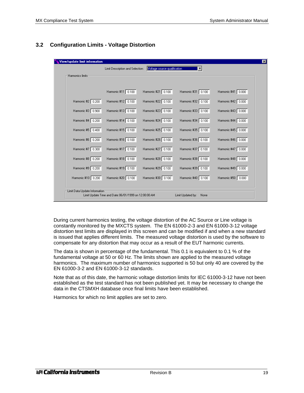### <span id="page-18-0"></span>**3.2 Configuration Limits - Voltage Distortion**

|                                | Limit Description and Selection: | Voltage source qualification |                    |                    |
|--------------------------------|----------------------------------|------------------------------|--------------------|--------------------|
| Harmonics limits               |                                  |                              |                    |                    |
|                                |                                  |                              |                    |                    |
|                                | Harmonic #11 0.100               | Harmonic #21 0.100           | Harmonic #31 0.100 | Harmonic #41 0.000 |
| Harmonic #2 0.200              | Harmonic #12 0.100               | Harmonic #22 0.100           | Harmonic #32 0.100 | Harmonic #42 0.000 |
| Harmonic #3 0.900              | Harmonic #13 0.100               | Harmonic #23 0.100           | Harmonic #33 0.100 | Harmonic #43 0.000 |
| Harmonic #4 0.200              | Harmonic #14 0.100               | Harmonic #24 0.100           | Harmonic #34 0.100 | Harmonic #44 0.000 |
| Harmonic #5 0.400              | Harmonic #15 0.100               | Harmonic #25 0.100           | Harmonic #35 0.100 | Harmonic #45 0.000 |
| Harmonic #6 0.200              | Harmonic #16 0.100               | Harmonic #26 0.100           | Harmonic #36 0.100 | Harmonic #46 0.000 |
| Harmonic #7 0.300              | Harmonic #17 0.100               | Harmonic #27 0.100           | Harmonic #37 0.100 | Harmonic #47 0.000 |
| Harmonic #8 0.200              | Harmonic #18 0.100               | Harmonic #28 0.100           | Harmonic #38 0.100 | Harmonic #48 0.000 |
| Harmonic #9 0.200              | Harmonic #19 0.100               | Harmonic #29 0.100           | Harmonic #39 0.100 | Harmonic #49 0.000 |
| Harmonic #10 0.200             | Harmonic #20 0.100               | Harmonic #30 0.100           | Harmonic #40 0.100 | Harmonic #50 0.000 |
| Limit Data Update Information: |                                  |                              |                    |                    |

During current harmonics testing, the voltage distortion of the AC Source or Line voltage is constantly monitored by the MXCTS system. The EN 61000-2-3 and EN 61000-3-12 voltage distortion test limits are displayed in this screen and can be modified if and when a new standard is issued that applies different limits. The measured voltage distortion is used by the software to compensate for any distortion that may occur as a result of the EUT harmonic currents.

The data is shown in percentage of the fundamental. This 0.1 is equivalent to 0.1 % of the fundamental voltage at 50 or 60 Hz. The limits shown are applied to the measured voltage harmonics. The maximum number of harmonics supported is 50 but only 40 are covered by the EN 61000-3-2 and EN 61000-3-12 standards.

Note that as of this date, the harmonic voltage distortion limits for IEC 61000-3-12 have not been established as the test standard has not been published yet. It may be necessary to change the data in the CTSMXH database once final limits have been established.

Harmonics for which no limit applies are set to zero.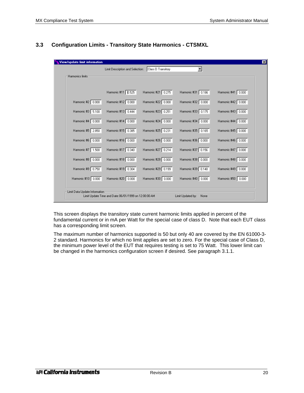### <span id="page-19-0"></span>**3.3 Configuration Limits - Transitory State Harmonics - CTSMXL**

| View/update limit information |                                                       |                    |                           |                    |
|-------------------------------|-------------------------------------------------------|--------------------|---------------------------|--------------------|
|                               | Limit Description and Selection:                      | Class D Transitory |                           |                    |
| Harmonics limits              |                                                       |                    |                           |                    |
|                               |                                                       |                    |                           |                    |
|                               | Harmonic #11   0.525                                  | Harmonic #21 0.275 | Harmonic #31 0.186        | Harmonic #41 0.000 |
| Harmonic #2 0.000             | Harmonic #12 0.000                                    | Harmonic #22 0.000 | Harmonic #32 0.000        | Harmonic #42 0.000 |
| Harmonic #3 5.100             | Harmonic #13 0.444                                    | Harmonic #23 0.251 | Harmonic #33 0.175        | Harmonic #43 0.000 |
| Harmonic #4 0.000             | Harmonic #14 0.000                                    | Harmonic #24 0.000 | Harmonic #34 0.000        | Harmonic #44 0.000 |
| Harmonic #5 2.850             | Harmonic #15 0.385                                    | Harmonic #25 0.231 | Harmonic #35 0.165        | Harmonic #45 0.000 |
| Harmonic #6 0.000             | Harmonic #16 0.000                                    | Harmonic #26 0.000 | Harmonic #36 0.000        | Harmonic #46 0.000 |
| Harmonic #7 1.500             | Harmonic #17 0.340                                    | Harmonic #27 0.214 | Harmonic #37 0.156        | Harmonic #47 0.000 |
| Harmonic #8 0.000             | Harmonic #18 0.000                                    | Harmonic #28 0.000 | Harmonic #38 0.000        | Harmonic #48 0.000 |
| Harmonic #9 0.750             | Harmonic #19 0.304                                    | Harmonic #29 0.199 | Harmonic #39 0.148        | Harmonic #49 0.000 |
| Harmonic #10 0.000            | Harmonic #20 0.000                                    | Harmonic #30 0.000 | Harmonic #40 0.000        | Harmonic #50 0.000 |
| Limit Data Update Information |                                                       |                    |                           |                    |
|                               | Limit Update Time and Date: 06/01/1999 on 12:00:00 AM |                    | Limit Updated by:<br>None |                    |

This screen displays the transitory state current harmonic limits applied in percent of the fundamental current or in mA per Watt for the special case of class D. Note that each EUT class has a corresponding limit screen.

The maximum number of harmonics supported is 50 but only 40 are covered by the EN 61000-3- 2 standard. Harmonics for which no limit applies are set to zero. For the special case of Class D, the minimum power level of the EUT that requires testing is set to 75 Watt. This lower limit can be changed in the harmonics configuration screen if desired. See paragraph [3.1.1.](#page-13-0)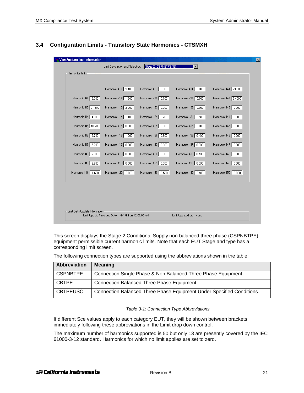### <span id="page-20-0"></span>**3.4 Configuration Limits - Transitory State Harmonics - CTSMXH**

|                               |                                                   | Limit Description and Selection: Stage 2: CSPNBTPE(33) |                        |                     |
|-------------------------------|---------------------------------------------------|--------------------------------------------------------|------------------------|---------------------|
| Harmonics limits              |                                                   |                                                        |                        |                     |
|                               | Harmonic #11 3.100                                | Harmonic #21 0.000                                     |                        | Harmonic #41 23.000 |
|                               |                                                   |                                                        | Harmonic #31 0.000     |                     |
| Harmonic #2 8.000             | Harmonic #12 1.300                                | Harmonic #22 0.700                                     | Harmonic #32 0.500     | Harmonic #42 23,000 |
| Harmonic #3 21.600            | Harmonic #13 2.000                                | Harmonic #23 0.000                                     | Harmonic #33 0.000     | Harmonic #43 0.000  |
| Harmonic #4 4.000             | Harmonic #14 1.100                                | Harmonic #24 0.700                                     | Harmonic #34 0.500     | Harmonic #44 0.000  |
| Harmonic #5 10.700            | Harmonic #15 0.000                                | Harmonic #25 0.000                                     | Harmonic #35 0.000     | Harmonic #45 0.000  |
| Harmonic #6 2.700             | Harmonic #16 1.000                                | Harmonic #26 0.600                                     | Harmonic #36 0.400     | Harmonic #46 0.000  |
| Harmonic #7 7.200             | Harmonic #17 0.000                                | Harmonic #27 0.000                                     | Harmonic #37 0.000     | Harmonic #47 0.000  |
| Harmonic #8 2.000             | Harmonic #18 0.900                                | Harmonic #28 0.600                                     | Harmonic #38 0.400     | Harmonic #48 0.000  |
| Harmonic #9 3.800             | Harmonic #19 0.000                                | Harmonic #29 0.000                                     | Harmonic #39 0.000     | Harmonic #49 0.000  |
| Harmonic #10 1.600            | Harmonic #20 0.800                                | Harmonic #30 0.500                                     | Harmonic #40 0.400     | Harmonic #50 0.000  |
|                               |                                                   |                                                        |                        |                     |
|                               |                                                   |                                                        |                        |                     |
|                               |                                                   |                                                        |                        |                     |
|                               |                                                   |                                                        |                        |                     |
| Limit Data Update Information | Limit Update Time and Date: 6/1/99 on 12:00:00 AM |                                                        | Limit Updated by: None |                     |

This screen displays the Stage 2 Conditional Supply non balanced three phase (CSPNBTPE) equipment permissible current harmonic limits. Note that each EUT Stage and type has a corresponding limit screen.

The following connection types are supported using the abbreviations shown in the table:

| Abbreviation    | <b>Meaning</b>                                                        |
|-----------------|-----------------------------------------------------------------------|
| <b>CSPNBTPE</b> | Connection Single Phase & Non Balanced Three Phase Equipment          |
| <b>CBTPE</b>    | <b>Connection Balanced Three Phase Equipment</b>                      |
| <b>CBTPEUSC</b> | Connection Balanced Three Phase Equipment Under Specified Conditions. |

#### *Table 3-1: Connection Type Abbreviations*

If different Sce values apply to each category EUT, they will be shown between brackets immediately following these abbreviations in the Limit drop down control.

The maximum number of harmonics supported is 50 but only 13 are presently covered by the IEC 61000-3-12 standard. Harmonics for which no limit applies are set to zero.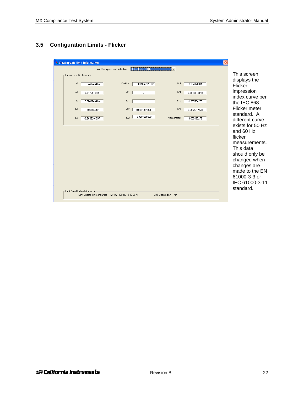### <span id="page-21-0"></span>**3.5 Configuration Limits - Flicker**

|                                | <b>T</b> <sub>s</sub> View/update limit information<br>Limit Description and Selection: | Flicker limits - 50 Hz       | $\overline{\phantom{a}}$ |              |                                                                                                                                                                      |
|--------------------------------|-----------------------------------------------------------------------------------------|------------------------------|--------------------------|--------------|----------------------------------------------------------------------------------------------------------------------------------------------------------------------|
| Flicker Filter Coeffiecients : |                                                                                         |                              |                          |              | This screen                                                                                                                                                          |
| a0                             | 0.2740744464                                                                            | CwFilter<br>0.00001842328667 | b11                      | -1.994878311 | displays the<br>Flicker                                                                                                                                              |
| a1                             | $-0.5470678701$                                                                         | a11<br>0                     | b21                      | 0.9949113149 | impression                                                                                                                                                           |
| a2                             | 0.2740744464                                                                            | a21<br>$-1$                  | b12                      | -1.985564235 | index curve per<br>the IEC 868                                                                                                                                       |
| b1                             | 1.959839087                                                                             | a12<br>0.0014314091          | b22                      | 0.9855747523 | Flicker meter                                                                                                                                                        |
| b2                             | $-0.9609201097$                                                                         | $-0.9985685909$<br>a22       | filterConstant           | 0.000333278  | standard. A<br>different curve<br>exists for 50 Hz                                                                                                                   |
| Limit Data Update Information  |                                                                                         |                              |                          |              | and 60 Hz<br>flicker<br>measurements.<br>This data<br>should only be<br>changed when<br>changes are<br>made to the EN<br>61000-3-3 or<br>IEC 61000-3-11<br>standard. |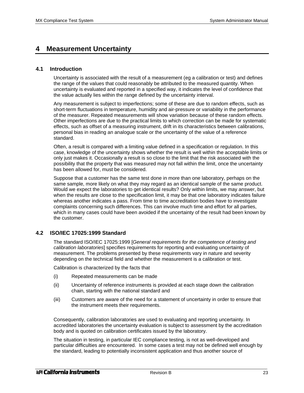### <span id="page-22-0"></span>**4 Measurement Uncertainty**

#### **4.1 Introduction**

Uncertainty is associated with the result of a measurement (eg a calibration or test) and defines the range of the values that could reasonably be attributed to the measured quantity. When uncertainty is evaluated and reported in a specified way, it indicates the level of confidence that the value actually lies within the range defined by the uncertainty interval.

Any measurement is subject to imperfections; some of these are due to random effects, such as short-term fluctuations in temperature, humidity and air-pressure or variability in the performance of the measurer. Repeated measurements will show variation because of these random effects. Other imperfections are due to the practical limits to which correction can be made for systematic effects, such as offset of a measuring instrument, drift in its characteristics between calibrations, personal bias in reading an analogue scale or the uncertainty of the value of a reference standard.

Often, a result is compared with a limiting value defined in a specification or regulation. In this case, knowledge of the uncertainty shows whether the result is well within the acceptable limits or only just makes it. Occasionally a result is so close to the limit that the risk associated with the possibility that the property that was measured may not fall within the limit, once the uncertainty has been allowed for, must be considered.

Suppose that a customer has the same test done in more than one laboratory, perhaps on the same sample, more likely on what they may regard as an identical sample of the same product. Would we expect the laboratories to get identical results? Only within limits, we may answer, but when the results are close to the specification limit, it may be that one laboratory indicates failure whereas another indicates a pass. From time to time accreditation bodies have to investigate complaints concerning such differences. This can involve much time and effort for all parties, which in many cases could have been avoided if the uncertainty of the result had been known by the customer.

#### **4.2 ISO/IEC 17025:1999 Standard**

The standard ISO/IEC 17025:1999 [*General requirements for the competence of testing and calibration laboratories*] specifies requirements for reporting and evaluating uncertainty of measurement. The problems presented by these requirements vary in nature and severity depending on the technical field and whether the measurement is a calibration or test.

Calibration is characterized by the facts that

- (i) Repeated measurements can be made
- (ii) Uncertainty of reference instruments is provided at each stage down the calibration chain, starting with the national standard and
- (iii) Customers are aware of the need for a statement of uncertainty in order to ensure that the instrument meets their requirements.

Consequently, calibration laboratories are used to evaluating and reporting uncertainty. In accredited laboratories the uncertainty evaluation is subject to assessment by the accreditation body and is quoted on calibration certificates issued by the laboratory.

The situation in testing, in particular IEC compliance testing, is not as well-developed and particular difficulties are encountered. In some cases a test may not be defined well enough by the standard, leading to potentially inconsistent application and thus another source of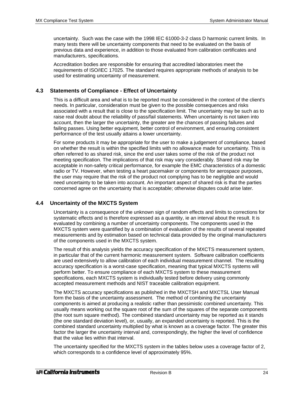<span id="page-23-0"></span>uncertainty. Such was the case with the 1998 IEC 61000-3-2 class D harmonic current limits. In many tests there will be uncertainty components that need to be evaluated on the basis of previous data and experience, in addition to those evaluated from calibration certificates and manufacturers, specifications.

Accreditation bodies are responsible for ensuring that accredited laboratories meet the requirements of ISO/IEC 17025. The standard requires appropriate methods of analysis to be used for estimating uncertainty of measurement.

#### **4.3 Statements of Compliance - Effect of Uncertainty**

This is a difficult area and what is to be reported must be considered in the context of the client's needs. In particular, consideration must be given to the possible consequences and risks associated with a result that is close to the specification limit. The uncertainty may be such as to raise real doubt about the reliability of pass/fail statements. When uncertainty is not taken into account, then the larger the uncertainty, the greater are the chances of passing failures and failing passes. Using better equipment, better control of environment, and ensuring consistent performance of the test usually attains a lower uncertainty.

For some products it may be appropriate for the user to make a judgement of compliance, based on whether the result is within the specified limits with no allowance made for uncertainty. This is often referred to as shared risk, since the end user takes some of the risk of the product not meeting specification. The implications of that risk may vary considerably. Shared risk may be acceptable in non-safety critical performance, for example the EMC characteristics of a domestic radio or TV. However, when testing a heart pacemaker or components for aerospace purposes, the user may require that the risk of the product not complying has to be negligible and would need uncertainty to be taken into account. An important aspect of shared risk is that the parties concerned agree on the uncertainty that is acceptable; otherwise disputes could arise later.

#### **4.4 Uncertainty of the MXCTS System**

Uncertainty is a consequence of the unknown sign of random effects and limits to corrections for systematic effects and is therefore expressed as a quantity, ie an interval about the result. It is evaluated by combining a number of uncertainty components. The components used in the MXCTS system were quantified by a combination of evaluation of the results of several repeated measurements and by estimation based on technical data provided by the original manufacturers of the components used in the MXCTS system.

The result of this analysis yields the accuracy specification of the MXCTS measurement system, in particular that of the current harmonic measurement system. Software calibration coefficients are used extensively to allow calibration of each individual measurement channel. The resulting accuracy specification is a worst-case specification, meaning that typical MXCTS systems will perform better. To ensure compliance of each MXCTS system to these measurement specifications, each MXCTS system is individually tested before delivery using commonly accepted measurement methods and NIST traceable calibration equipment.

The MXCTS accuracy specifications as published in the MXCTSH and MXCTSL User Manual form the basis of the uncertainty assessment. The method of combining the uncertainty components is aimed at producing a realistic rather than pessimistic combined uncertainty. This usually means working out the square root of the sum of the squares of the separate components (the root sum square method). The combined standard uncertainty may be reported as it stands (the one standard deviation level), or, usually, an expanded uncertainty is reported. This is the combined standard uncertainty multiplied by what is known as a coverage factor. The greater this factor the larger the uncertainty interval and, correspondingly, the higher the level of confidence that the value lies within that interval.

The uncertainty specified for the MXCTS system in the tables below uses a coverage factor of 2, which corresponds to a confidence level of approximately 95%.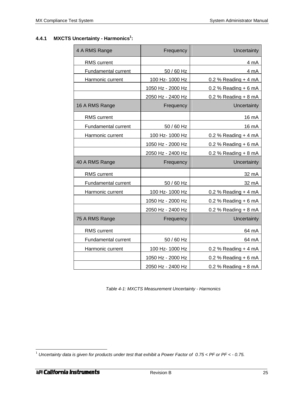#### <span id="page-24-0"></span>**4.4.1 MXCTS Uncertainty - Harmonics<sup>1</sup>:**

| 4 A RMS Range              | Frequency         | Uncertainty            |
|----------------------------|-------------------|------------------------|
| <b>RMS</b> current         |                   | 4 mA                   |
| Fundamental current        | 50 / 60 Hz        | 4 mA                   |
| Harmonic current           | 100 Hz- 1000 Hz   | $0.2$ % Reading + 4 mA |
|                            | 1050 Hz - 2000 Hz | $0.2$ % Reading + 6 mA |
|                            | 2050 Hz - 2400 Hz | $0.2$ % Reading + 8 mA |
| 16 A RMS Range             | Frequency         | Uncertainty            |
| <b>RMS</b> current         |                   | 16 mA                  |
| <b>Fundamental current</b> | 50 / 60 Hz        | 16 mA                  |
| Harmonic current           | 100 Hz- 1000 Hz   | $0.2$ % Reading + 4 mA |
|                            | 1050 Hz - 2000 Hz | $0.2$ % Reading + 6 mA |
|                            | 2050 Hz - 2400 Hz | $0.2$ % Reading + 8 mA |
| 40 A RMS Range             | Frequency         | Uncertainty            |
| <b>RMS</b> current         |                   | 32 mA                  |
| Fundamental current        | 50 / 60 Hz        | 32 mA                  |
| Harmonic current           | 100 Hz- 1000 Hz   | $0.2$ % Reading + 4 mA |
|                            | 1050 Hz - 2000 Hz | $0.2$ % Reading + 6 mA |
|                            | 2050 Hz - 2400 Hz | $0.2$ % Reading + 8 mA |
| 75 A RMS Range             | Frequency         | Uncertainty            |
| <b>RMS</b> current         |                   | 64 mA                  |
| Fundamental current        | 50 / 60 Hz        | 64 mA                  |
| Harmonic current           | 100 Hz- 1000 Hz   | $0.2$ % Reading + 4 mA |
|                            | 1050 Hz - 2000 Hz | $0.2$ % Reading + 6 mA |
|                            | 2050 Hz - 2400 Hz | $0.2$ % Reading + 8 mA |

*Table 4-1: MXCTS Measurement Uncertainty - Harmonics*

<span id="page-24-1"></span> <sup>1</sup> *Uncertainty data is given for products under test that exhibit a Power Factor of 0.75 < PF or PF < - 0.75.*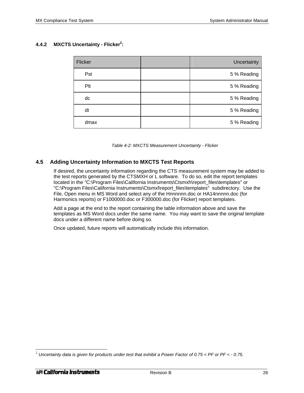#### <span id="page-25-0"></span>**4.4.2 MXCTS Uncertainty - Flicker[2](#page-25-1) :**

| <b>Flicker</b> | Uncertainty |
|----------------|-------------|
| Pst            | 5 % Reading |
| Plt            | 5 % Reading |
| dc             | 5 % Reading |
| dt             | 5 % Reading |
| dmax           | 5 % Reading |

*Table 4-2: MXCTS Measurement Uncertainty - Flicker* 

#### **4.5 Adding Uncertainty Information to MXCTS Test Reports**

If desired, the uncertainty information regarding the CTS measurement system may be added to the test reports generated by the CTSMXH or L software. To do so, edit the report templates located in the "C:\Program Files\California Instruments\Ctsmxh\report\_files\templates" or "C:\Program Files\California Instruments\Ctsmxl\report\_files\templates" subdirectory. Use the File, Open menu in MS Word and select any of the Hnnnnnn.doc or HA14nnnnn.doc (for Harmonics reports) or F1000000.doc or F300000.doc (for Flicker) report templates.

Add a page at the end to the report containing the table information above and save the templates as MS Word docs under the same name. You may want to save the original template docs under a different name before doing so.

Once updated, future reports will automatically include this information.

<span id="page-25-1"></span> <sup>2</sup> *Uncertainty data is given for products under test that exhibit a Power Factor of 0.75 < PF or PF < - 0.75.*